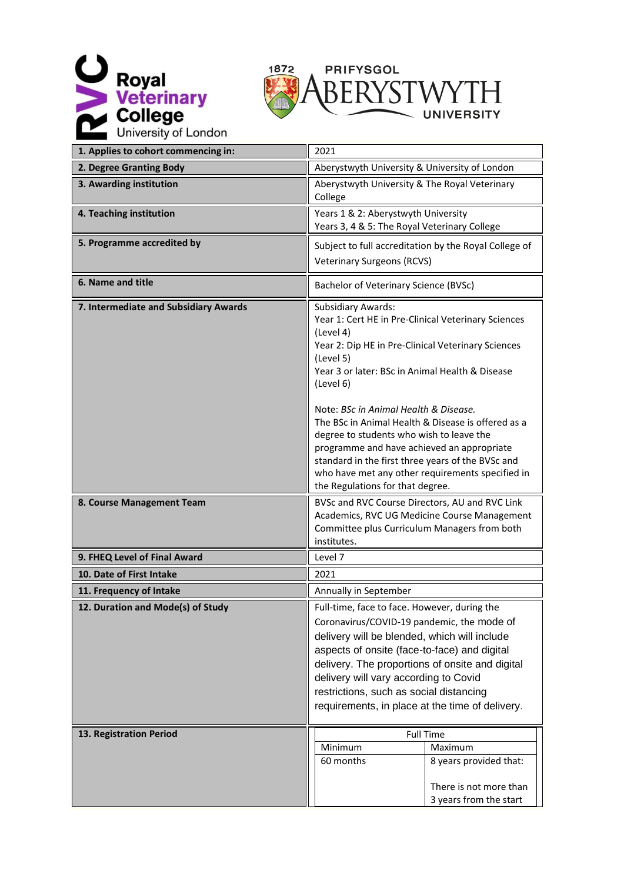



| 1. Applies to cohort commencing in:   | 2021                                                                                                                                                                                                                                                                                                                                                                                                                                                                                                                                                                   |  |  |
|---------------------------------------|------------------------------------------------------------------------------------------------------------------------------------------------------------------------------------------------------------------------------------------------------------------------------------------------------------------------------------------------------------------------------------------------------------------------------------------------------------------------------------------------------------------------------------------------------------------------|--|--|
| 2. Degree Granting Body               | Aberystwyth University & University of London                                                                                                                                                                                                                                                                                                                                                                                                                                                                                                                          |  |  |
| 3. Awarding institution               | Aberystwyth University & The Royal Veterinary<br>College                                                                                                                                                                                                                                                                                                                                                                                                                                                                                                               |  |  |
| 4. Teaching institution               | Years 1 & 2: Aberystwyth University<br>Years 3, 4 & 5: The Royal Veterinary College                                                                                                                                                                                                                                                                                                                                                                                                                                                                                    |  |  |
| 5. Programme accredited by            | Subject to full accreditation by the Royal College of<br><b>Veterinary Surgeons (RCVS)</b>                                                                                                                                                                                                                                                                                                                                                                                                                                                                             |  |  |
| 6. Name and title                     | Bachelor of Veterinary Science (BVSc)                                                                                                                                                                                                                                                                                                                                                                                                                                                                                                                                  |  |  |
| 7. Intermediate and Subsidiary Awards | <b>Subsidiary Awards:</b><br>Year 1: Cert HE in Pre-Clinical Veterinary Sciences<br>(Level 4)<br>Year 2: Dip HE in Pre-Clinical Veterinary Sciences<br>(Level 5)<br>Year 3 or later: BSc in Animal Health & Disease<br>(Level 6)<br>Note: BSc in Animal Health & Disease.<br>The BSc in Animal Health & Disease is offered as a<br>degree to students who wish to leave the<br>programme and have achieved an appropriate<br>standard in the first three years of the BVSc and<br>who have met any other requirements specified in<br>the Regulations for that degree. |  |  |
| 8. Course Management Team             | BVSc and RVC Course Directors, AU and RVC Link<br>Academics, RVC UG Medicine Course Management<br>Committee plus Curriculum Managers from both<br>institutes.                                                                                                                                                                                                                                                                                                                                                                                                          |  |  |
| 9. FHEQ Level of Final Award          | Level 7                                                                                                                                                                                                                                                                                                                                                                                                                                                                                                                                                                |  |  |
| 10. Date of First Intake              | 2021                                                                                                                                                                                                                                                                                                                                                                                                                                                                                                                                                                   |  |  |
| 11. Frequency of Intake               | Annually in September                                                                                                                                                                                                                                                                                                                                                                                                                                                                                                                                                  |  |  |
| 12. Duration and Mode(s) of Study     | Full-time, face to face. However, during the<br>Coronavirus/COVID-19 pandemic, the mode of<br>delivery will be blended, which will include<br>aspects of onsite (face-to-face) and digital<br>delivery. The proportions of onsite and digital<br>delivery will vary according to Covid<br>restrictions, such as social distancing<br>requirements, in place at the time of delivery.                                                                                                                                                                                   |  |  |
| 13. Registration Period               | <b>Full Time</b><br>Maximum<br>Minimum<br>60 months<br>8 years provided that:<br>There is not more than<br>3 years from the start                                                                                                                                                                                                                                                                                                                                                                                                                                      |  |  |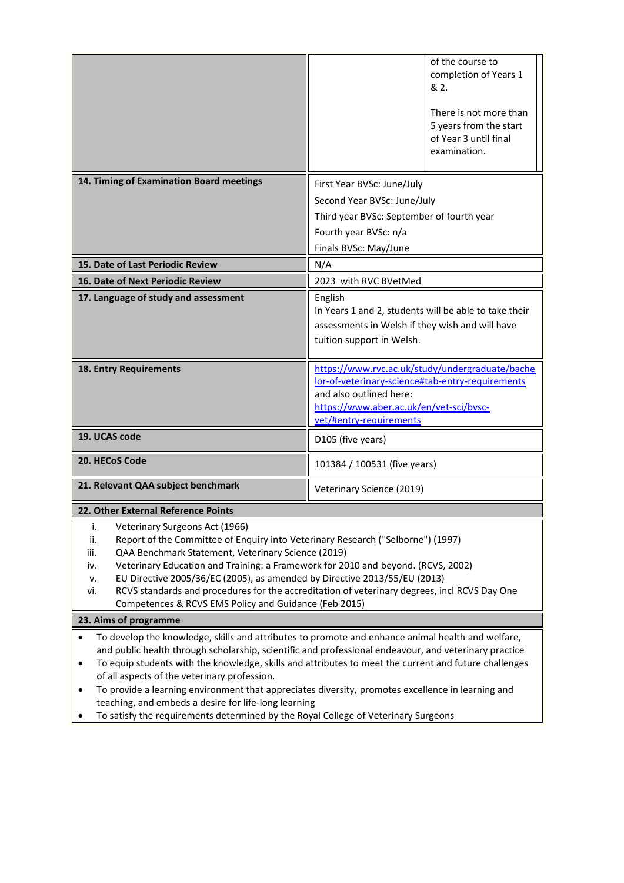|                                                                                                                                                                                                                                                                                                                                                                                                                                                                                                                                            | of the course to<br>completion of Years 1<br>& 2.<br>There is not more than<br>5 years from the start<br>of Year 3 until final<br>examination.                                                                                                                                                                      |  |
|--------------------------------------------------------------------------------------------------------------------------------------------------------------------------------------------------------------------------------------------------------------------------------------------------------------------------------------------------------------------------------------------------------------------------------------------------------------------------------------------------------------------------------------------|---------------------------------------------------------------------------------------------------------------------------------------------------------------------------------------------------------------------------------------------------------------------------------------------------------------------|--|
| 14. Timing of Examination Board meetings                                                                                                                                                                                                                                                                                                                                                                                                                                                                                                   | First Year BVSc: June/July                                                                                                                                                                                                                                                                                          |  |
|                                                                                                                                                                                                                                                                                                                                                                                                                                                                                                                                            | Second Year BVSc: June/July                                                                                                                                                                                                                                                                                         |  |
|                                                                                                                                                                                                                                                                                                                                                                                                                                                                                                                                            | Third year BVSc: September of fourth year                                                                                                                                                                                                                                                                           |  |
|                                                                                                                                                                                                                                                                                                                                                                                                                                                                                                                                            | Fourth year BVSc: n/a<br>Finals BVSc: May/June                                                                                                                                                                                                                                                                      |  |
| 15. Date of Last Periodic Review                                                                                                                                                                                                                                                                                                                                                                                                                                                                                                           | N/A                                                                                                                                                                                                                                                                                                                 |  |
| 16. Date of Next Periodic Review                                                                                                                                                                                                                                                                                                                                                                                                                                                                                                           | 2023 with RVC BVetMed                                                                                                                                                                                                                                                                                               |  |
| 17. Language of study and assessment                                                                                                                                                                                                                                                                                                                                                                                                                                                                                                       | English<br>In Years 1 and 2, students will be able to take their<br>assessments in Welsh if they wish and will have<br>tuition support in Welsh.                                                                                                                                                                    |  |
| 18. Entry Requirements                                                                                                                                                                                                                                                                                                                                                                                                                                                                                                                     | https://www.rvc.ac.uk/study/undergraduate/bache<br>lor-of-veterinary-science#tab-entry-requirements<br>and also outlined here:<br>https://www.aber.ac.uk/en/vet-sci/bvsc-<br>vet/#entry-requirements                                                                                                                |  |
| 19. UCAS code                                                                                                                                                                                                                                                                                                                                                                                                                                                                                                                              | D105 (five years)                                                                                                                                                                                                                                                                                                   |  |
| 20. HECoS Code                                                                                                                                                                                                                                                                                                                                                                                                                                                                                                                             | 101384 / 100531 (five years)                                                                                                                                                                                                                                                                                        |  |
| 21. Relevant QAA subject benchmark                                                                                                                                                                                                                                                                                                                                                                                                                                                                                                         | Veterinary Science (2019)                                                                                                                                                                                                                                                                                           |  |
| 22. Other External Reference Points                                                                                                                                                                                                                                                                                                                                                                                                                                                                                                        |                                                                                                                                                                                                                                                                                                                     |  |
| Veterinary Surgeons Act (1966)<br>i.<br>Report of the Committee of Enquiry into Veterinary Research ("Selborne") (1997)<br>ii.<br>QAA Benchmark Statement, Veterinary Science (2019)<br>iii.<br>Veterinary Education and Training: a Framework for 2010 and beyond. (RCVS, 2002)<br>iv.<br>EU Directive 2005/36/EC (2005), as amended by Directive 2013/55/EU (2013)<br>٧.<br>RCVS standards and procedures for the accreditation of veterinary degrees, incl RCVS Day One<br>vi.<br>Competences & RCVS EMS Policy and Guidance (Feb 2015) |                                                                                                                                                                                                                                                                                                                     |  |
| 23. Aims of programme                                                                                                                                                                                                                                                                                                                                                                                                                                                                                                                      |                                                                                                                                                                                                                                                                                                                     |  |
| of all aspects of the veterinary profession.<br>To provide a learning environment that appreciates diversity, promotes excellence in learning and<br>٠<br>teaching, and embeds a desire for life-long learning<br>To satisfy the requirements determined by the Royal College of Veterinary Surgeons                                                                                                                                                                                                                                       | To develop the knowledge, skills and attributes to promote and enhance animal health and welfare,<br>and public health through scholarship, scientific and professional endeavour, and veterinary practice<br>To equip students with the knowledge, skills and attributes to meet the current and future challenges |  |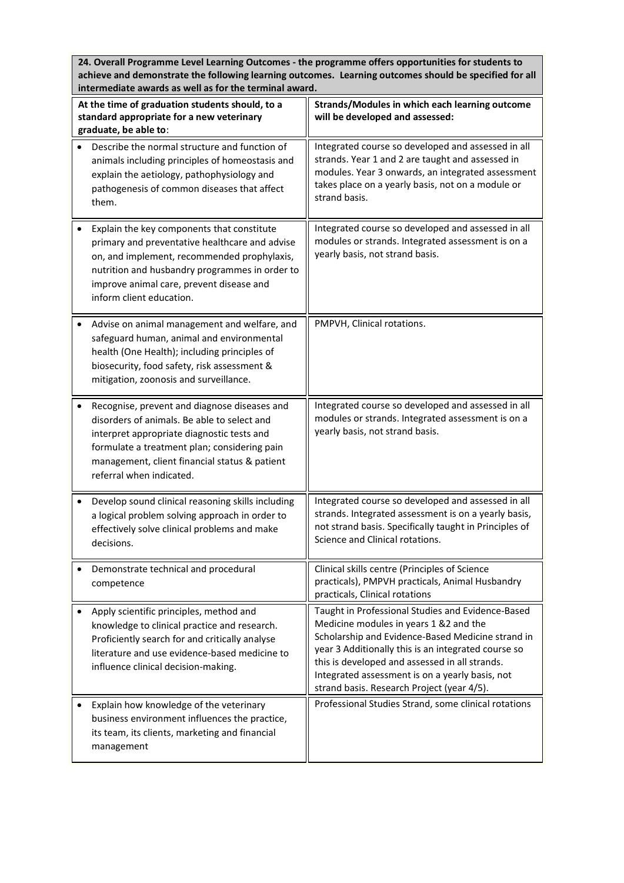**24. Overall Programme Level Learning Outcomes - the programme offers opportunities for students to achieve and demonstrate the following learning outcomes. Learning outcomes should be specified for all intermediate awards as well as for the terminal award.**

| At the time of graduation students should, to a<br>standard appropriate for a new veterinary<br>graduate, be able to:                                                                                                                                                  | Strands/Modules in which each learning outcome<br>will be developed and assessed:                                                                                                                                                                                                                                                                          |  |  |
|------------------------------------------------------------------------------------------------------------------------------------------------------------------------------------------------------------------------------------------------------------------------|------------------------------------------------------------------------------------------------------------------------------------------------------------------------------------------------------------------------------------------------------------------------------------------------------------------------------------------------------------|--|--|
| Describe the normal structure and function of<br>animals including principles of homeostasis and<br>explain the aetiology, pathophysiology and<br>pathogenesis of common diseases that affect<br>them.                                                                 | Integrated course so developed and assessed in all<br>strands. Year 1 and 2 are taught and assessed in<br>modules. Year 3 onwards, an integrated assessment<br>takes place on a yearly basis, not on a module or<br>strand basis.                                                                                                                          |  |  |
| Explain the key components that constitute<br>primary and preventative healthcare and advise<br>on, and implement, recommended prophylaxis,<br>nutrition and husbandry programmes in order to<br>improve animal care, prevent disease and<br>inform client education.  | Integrated course so developed and assessed in all<br>modules or strands. Integrated assessment is on a<br>yearly basis, not strand basis.                                                                                                                                                                                                                 |  |  |
| Advise on animal management and welfare, and<br>safeguard human, animal and environmental<br>health (One Health); including principles of<br>biosecurity, food safety, risk assessment &<br>mitigation, zoonosis and surveillance.                                     | PMPVH, Clinical rotations.                                                                                                                                                                                                                                                                                                                                 |  |  |
| Recognise, prevent and diagnose diseases and<br>disorders of animals. Be able to select and<br>interpret appropriate diagnostic tests and<br>formulate a treatment plan; considering pain<br>management, client financial status & patient<br>referral when indicated. | Integrated course so developed and assessed in all<br>modules or strands. Integrated assessment is on a<br>yearly basis, not strand basis.                                                                                                                                                                                                                 |  |  |
| Develop sound clinical reasoning skills including<br>a logical problem solving approach in order to<br>effectively solve clinical problems and make<br>decisions.                                                                                                      | Integrated course so developed and assessed in all<br>strands. Integrated assessment is on a yearly basis,<br>not strand basis. Specifically taught in Principles of<br>Science and Clinical rotations.                                                                                                                                                    |  |  |
| Demonstrate technical and procedural<br>competence                                                                                                                                                                                                                     | Clinical skills centre (Principles of Science<br>practicals), PMPVH practicals, Animal Husbandry<br>practicals, Clinical rotations                                                                                                                                                                                                                         |  |  |
| Apply scientific principles, method and<br>knowledge to clinical practice and research.<br>Proficiently search for and critically analyse<br>literature and use evidence-based medicine to<br>influence clinical decision-making.                                      | Taught in Professional Studies and Evidence-Based<br>Medicine modules in years 1 &2 and the<br>Scholarship and Evidence-Based Medicine strand in<br>year 3 Additionally this is an integrated course so<br>this is developed and assessed in all strands.<br>Integrated assessment is on a yearly basis, not<br>strand basis. Research Project (year 4/5). |  |  |
| Explain how knowledge of the veterinary<br>business environment influences the practice,<br>its team, its clients, marketing and financial<br>management                                                                                                               | Professional Studies Strand, some clinical rotations                                                                                                                                                                                                                                                                                                       |  |  |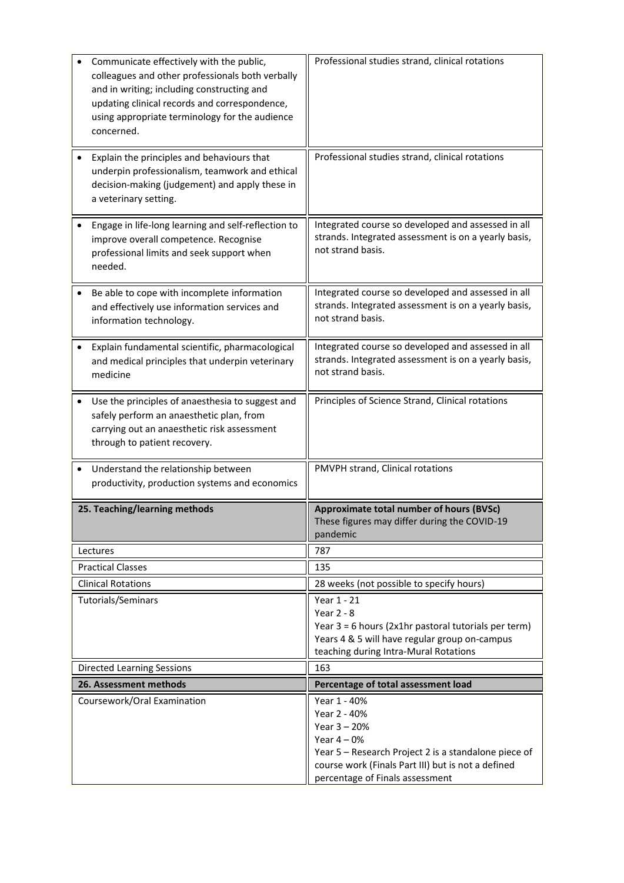| Communicate effectively with the public,<br>colleagues and other professionals both verbally<br>and in writing; including constructing and<br>updating clinical records and correspondence,<br>using appropriate terminology for the audience<br>concerned. | Professional studies strand, clinical rotations                                                                                                                                                                |  |
|-------------------------------------------------------------------------------------------------------------------------------------------------------------------------------------------------------------------------------------------------------------|----------------------------------------------------------------------------------------------------------------------------------------------------------------------------------------------------------------|--|
| Explain the principles and behaviours that<br>underpin professionalism, teamwork and ethical<br>decision-making (judgement) and apply these in<br>a veterinary setting.                                                                                     | Professional studies strand, clinical rotations                                                                                                                                                                |  |
| Engage in life-long learning and self-reflection to<br>improve overall competence. Recognise<br>professional limits and seek support when<br>needed.                                                                                                        | Integrated course so developed and assessed in all<br>strands. Integrated assessment is on a yearly basis,<br>not strand basis.                                                                                |  |
| Be able to cope with incomplete information<br>and effectively use information services and<br>information technology.                                                                                                                                      | Integrated course so developed and assessed in all<br>strands. Integrated assessment is on a yearly basis,<br>not strand basis.                                                                                |  |
| Explain fundamental scientific, pharmacological<br>$\bullet$<br>and medical principles that underpin veterinary<br>medicine                                                                                                                                 | Integrated course so developed and assessed in all<br>strands. Integrated assessment is on a yearly basis,<br>not strand basis.                                                                                |  |
| Use the principles of anaesthesia to suggest and<br>safely perform an anaesthetic plan, from<br>carrying out an anaesthetic risk assessment<br>through to patient recovery.                                                                                 | Principles of Science Strand, Clinical rotations                                                                                                                                                               |  |
| Understand the relationship between<br>productivity, production systems and economics                                                                                                                                                                       | PMVPH strand, Clinical rotations                                                                                                                                                                               |  |
| 25. Teaching/learning methods                                                                                                                                                                                                                               | Approximate total number of hours (BVSc)<br>These figures may differ during the COVID-19<br>pandemic                                                                                                           |  |
| Lectures                                                                                                                                                                                                                                                    | 787                                                                                                                                                                                                            |  |
| <b>Practical Classes</b>                                                                                                                                                                                                                                    | 135                                                                                                                                                                                                            |  |
| <b>Clinical Rotations</b>                                                                                                                                                                                                                                   | 28 weeks (not possible to specify hours)                                                                                                                                                                       |  |
| Tutorials/Seminars                                                                                                                                                                                                                                          | Year 1 - 21<br><b>Year 2 - 8</b><br>Year $3 = 6$ hours (2x1hr pastoral tutorials per term)<br>Years 4 & 5 will have regular group on-campus<br>teaching during Intra-Mural Rotations                           |  |
| <b>Directed Learning Sessions</b>                                                                                                                                                                                                                           | 163                                                                                                                                                                                                            |  |
| 26. Assessment methods                                                                                                                                                                                                                                      | Percentage of total assessment load                                                                                                                                                                            |  |
| Coursework/Oral Examination                                                                                                                                                                                                                                 | Year 1 - 40%<br>Year 2 - 40%<br>Year $3 - 20%$<br>Year $4-0%$<br>Year 5 - Research Project 2 is a standalone piece of<br>course work (Finals Part III) but is not a defined<br>percentage of Finals assessment |  |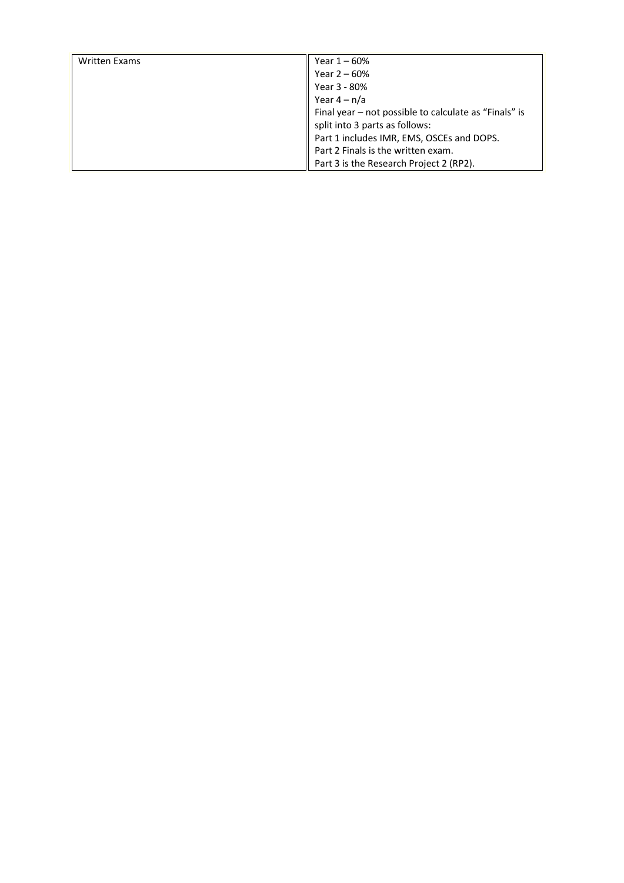| <b>Written Exams</b> | Year 1 – 60%                                          |
|----------------------|-------------------------------------------------------|
|                      | Year $2 - 60%$                                        |
|                      |                                                       |
|                      | Year 3 - 80%                                          |
|                      | Year $4 - n/a$                                        |
|                      | Final year - not possible to calculate as "Finals" is |
|                      | split into 3 parts as follows:                        |
|                      | Part 1 includes IMR, EMS, OSCEs and DOPS.             |
|                      | Part 2 Finals is the written exam.                    |
|                      | Part 3 is the Research Project 2 (RP2).               |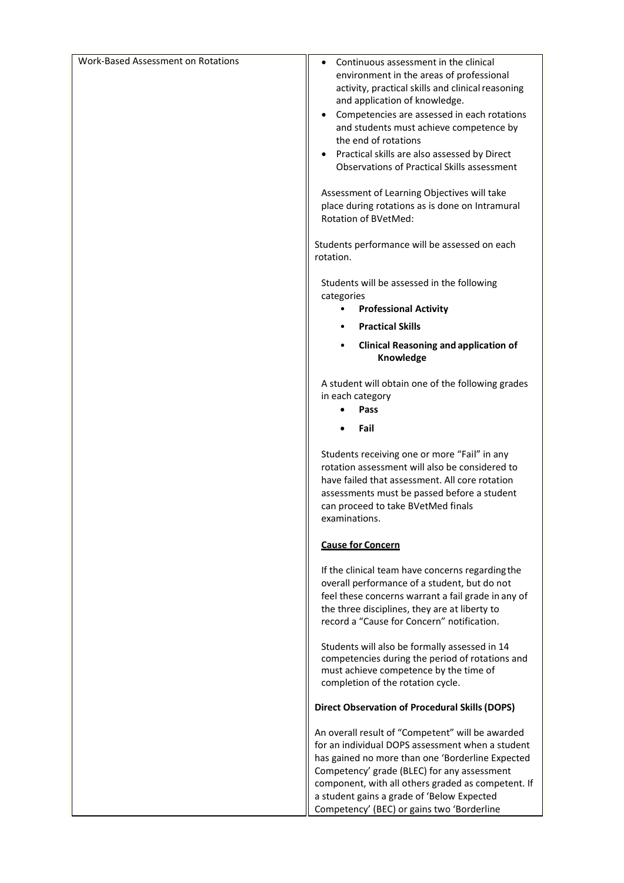| Work-Based Assessment on Rotations               | Continuous assessment in the clinical<br>environment in the areas of professional                                                                                                                                                                       |  |  |
|--------------------------------------------------|---------------------------------------------------------------------------------------------------------------------------------------------------------------------------------------------------------------------------------------------------------|--|--|
|                                                  | activity, practical skills and clinical reasoning                                                                                                                                                                                                       |  |  |
|                                                  | and application of knowledge.<br>Competencies are assessed in each rotations                                                                                                                                                                            |  |  |
|                                                  | and students must achieve competence by                                                                                                                                                                                                                 |  |  |
|                                                  | the end of rotations<br>Practical skills are also assessed by Direct<br>٠                                                                                                                                                                               |  |  |
|                                                  | <b>Observations of Practical Skills assessment</b>                                                                                                                                                                                                      |  |  |
|                                                  | Assessment of Learning Objectives will take<br>place during rotations as is done on Intramural<br>Rotation of BVetMed:                                                                                                                                  |  |  |
|                                                  | Students performance will be assessed on each<br>rotation.                                                                                                                                                                                              |  |  |
|                                                  | Students will be assessed in the following<br>categories                                                                                                                                                                                                |  |  |
|                                                  | <b>Professional Activity</b><br>$\bullet$                                                                                                                                                                                                               |  |  |
|                                                  | <b>Practical Skills</b><br>$\bullet$                                                                                                                                                                                                                    |  |  |
|                                                  | <b>Clinical Reasoning and application of</b><br>$\bullet$<br>Knowledge                                                                                                                                                                                  |  |  |
|                                                  | A student will obtain one of the following grades                                                                                                                                                                                                       |  |  |
|                                                  | in each category<br>Pass                                                                                                                                                                                                                                |  |  |
|                                                  | Fail                                                                                                                                                                                                                                                    |  |  |
|                                                  | Students receiving one or more "Fail" in any<br>rotation assessment will also be considered to                                                                                                                                                          |  |  |
|                                                  | have failed that assessment. All core rotation<br>assessments must be passed before a student                                                                                                                                                           |  |  |
|                                                  | can proceed to take BVetMed finals                                                                                                                                                                                                                      |  |  |
|                                                  | examinations.<br><b>Cause for Concern</b>                                                                                                                                                                                                               |  |  |
|                                                  |                                                                                                                                                                                                                                                         |  |  |
|                                                  | If the clinical team have concerns regarding the<br>overall performance of a student, but do not                                                                                                                                                        |  |  |
|                                                  | feel these concerns warrant a fail grade in any of                                                                                                                                                                                                      |  |  |
|                                                  | the three disciplines, they are at liberty to<br>record a "Cause for Concern" notification.                                                                                                                                                             |  |  |
|                                                  |                                                                                                                                                                                                                                                         |  |  |
|                                                  | Students will also be formally assessed in 14<br>competencies during the period of rotations and                                                                                                                                                        |  |  |
|                                                  | must achieve competence by the time of<br>completion of the rotation cycle.<br><b>Direct Observation of Procedural Skills (DOPS)</b>                                                                                                                    |  |  |
|                                                  |                                                                                                                                                                                                                                                         |  |  |
| An overall result of "Competent" will be awarded |                                                                                                                                                                                                                                                         |  |  |
|                                                  | for an individual DOPS assessment when a student<br>has gained no more than one 'Borderline Expected<br>Competency' grade (BLEC) for any assessment<br>component, with all others graded as competent. If<br>a student gains a grade of 'Below Expected |  |  |
|                                                  |                                                                                                                                                                                                                                                         |  |  |
|                                                  |                                                                                                                                                                                                                                                         |  |  |
|                                                  | Competency' (BEC) or gains two 'Borderline                                                                                                                                                                                                              |  |  |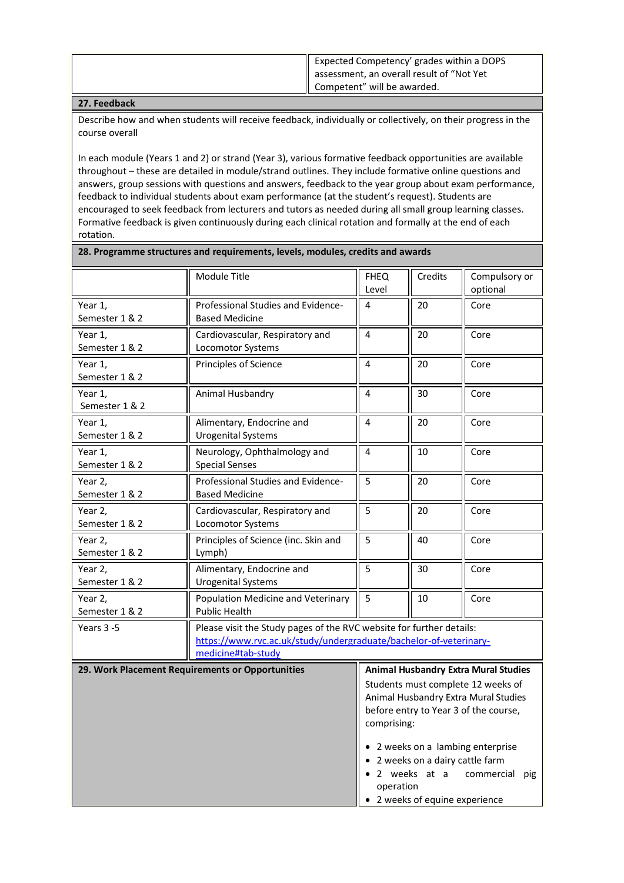| $\parallel$ Expected Competency' grades within a DOPS |
|-------------------------------------------------------|
| assessment, an overall result of "Not Yet"            |
| Competent" will be awarded.                           |

## **27. Feedback**

Describe how and when students will receive feedback, individually or collectively, on their progress in the course overall

In each module (Years 1 and 2) or strand (Year 3), various formative feedback opportunities are available throughout – these are detailed in module/strand outlines. They include formative online questions and answers, group sessions with questions and answers, feedback to the year group about exam performance, feedback to individual students about exam performance (at the student's request). Students are encouraged to seek feedback from lecturers and tutors as needed during all small group learning classes. Formative feedback is given continuously during each clinical rotation and formally at the end of each rotation.

**28. Programme structures and requirements, levels, modules, credits and awards**

|                           | <b>Module Title</b>                                         | <b>FHEQ</b><br>Level                                                                                                                      | Credits                                                            | Compulsory or<br>optional                                                                                                                                                                                                                |
|---------------------------|-------------------------------------------------------------|-------------------------------------------------------------------------------------------------------------------------------------------|--------------------------------------------------------------------|------------------------------------------------------------------------------------------------------------------------------------------------------------------------------------------------------------------------------------------|
| Year 1,<br>Semester 1 & 2 | Professional Studies and Evidence-<br><b>Based Medicine</b> | 4                                                                                                                                         | 20                                                                 | Core                                                                                                                                                                                                                                     |
| Year 1,<br>Semester 1 & 2 | Cardiovascular, Respiratory and<br>Locomotor Systems        | 4                                                                                                                                         | 20                                                                 | Core                                                                                                                                                                                                                                     |
| Year 1,<br>Semester 1 & 2 | Principles of Science                                       | 4                                                                                                                                         | 20                                                                 | Core                                                                                                                                                                                                                                     |
| Year 1,<br>Semester 1 & 2 | Animal Husbandry                                            | 4                                                                                                                                         | 30                                                                 | Core                                                                                                                                                                                                                                     |
| Year 1,<br>Semester 1 & 2 | Alimentary, Endocrine and<br><b>Urogenital Systems</b>      | 4                                                                                                                                         | 20                                                                 | Core                                                                                                                                                                                                                                     |
| Year 1,<br>Semester 1 & 2 | Neurology, Ophthalmology and<br><b>Special Senses</b>       | $\overline{\mathbf{4}}$                                                                                                                   | 10                                                                 | Core                                                                                                                                                                                                                                     |
| Year 2,<br>Semester 1 & 2 | Professional Studies and Evidence-<br><b>Based Medicine</b> | $\overline{5}$                                                                                                                            | 20                                                                 | Core                                                                                                                                                                                                                                     |
| Year 2,<br>Semester 1 & 2 | Cardiovascular, Respiratory and<br>Locomotor Systems        | 5                                                                                                                                         | 20                                                                 | Core                                                                                                                                                                                                                                     |
| Year 2,<br>Semester 1 & 2 | Principles of Science (inc. Skin and<br>Lymph)              | $\overline{5}$                                                                                                                            | 40                                                                 | Core                                                                                                                                                                                                                                     |
| Year 2,<br>Semester 1 & 2 | Alimentary, Endocrine and<br><b>Urogenital Systems</b>      | $\overline{5}$                                                                                                                            | 30                                                                 | Core                                                                                                                                                                                                                                     |
| Year 2,<br>Semester 1 & 2 | Population Medicine and Veterinary<br><b>Public Health</b>  | 5                                                                                                                                         | 10                                                                 | Core                                                                                                                                                                                                                                     |
| Years 3-5                 | medicine#tab-study                                          | Please visit the Study pages of the RVC website for further details:<br>https://www.rvc.ac.uk/study/undergraduate/bachelor-of-veterinary- |                                                                    |                                                                                                                                                                                                                                          |
|                           | 29. Work Placement Requirements or Opportunities            | comprising:<br>operation                                                                                                                  | • 2 weeks on a dairy cattle farm<br>• 2 weeks of equine experience | <b>Animal Husbandry Extra Mural Studies</b><br>Students must complete 12 weeks of<br>Animal Husbandry Extra Mural Studies<br>before entry to Year 3 of the course,<br>• 2 weeks on a lambing enterprise<br>· 2 weeks at a commercial pig |